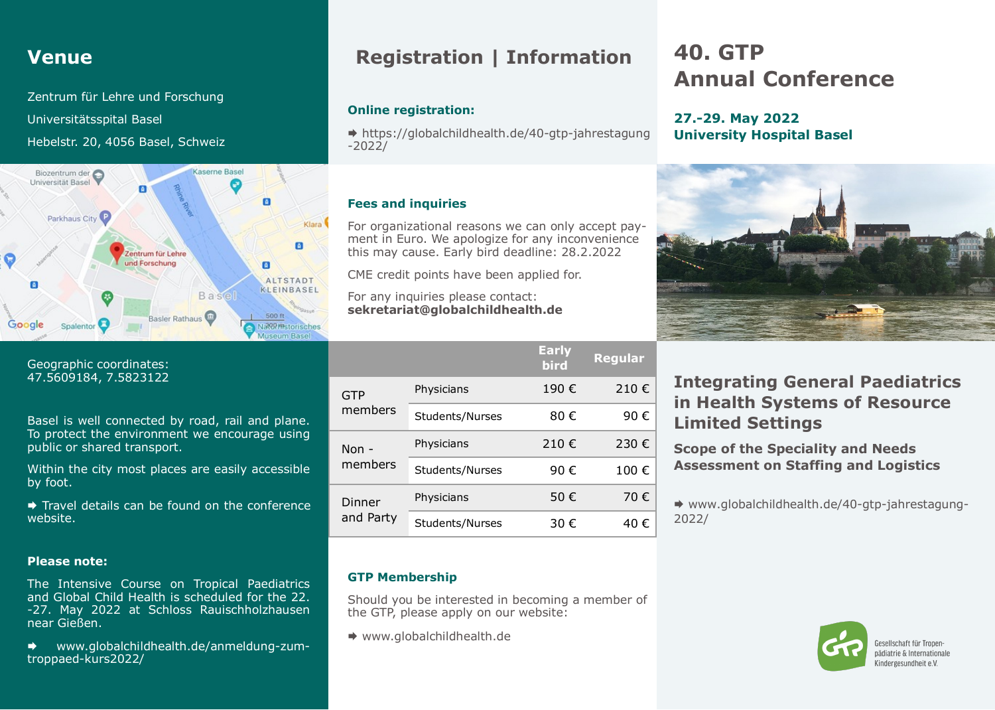### **Venue**

Zentrum für Lehre und Forschung Universitätsspital Basel Hebelstr. 20, 4056 Basel, Schweiz



Geographic coordinates: 47.5609184, 7.5823122

Basel is well connected by road, rail and plane. To protect the environment we encourage using public or shared transport.

Within the city most places are easily accessible by foot.

Travel details can be found on the conference website.

#### **Please note:**

The Intensive Course on Tropical Paediatrics and Global Child Health is scheduled for the 22. -27. May 2022 at Schloss Rauischholzhausen near Gießen.

 www.globalchildhealth.de/anmeldung-zumtroppaed-kurs2022/

### **Registration | Information**

#### **Online registration:**

 https://globalchildhealth.de/40-gtp-jahrestagung -2022/

#### **Fees and inquiries**

For organizational reasons we can only accept payment in Euro. We apologize for any inconvenience this may cause. Early bird deadline: 28.2.2022

CME credit points have been applied for.

For any inquiries please contact: **sekretariat@globalchildhealth.de**

|                     |                 | <b>Early</b><br>bird | <b>Regular</b> |
|---------------------|-----------------|----------------------|----------------|
| GTP<br>members      | Physicians      | 190€                 | 210€           |
|                     | Students/Nurses | 80 €                 | 90€            |
| Non -<br>members    | Physicians      | 210€                 | 230 €          |
|                     | Students/Nurses | 90€                  | 100€           |
| Dinner<br>and Party | Physicians      | 50€                  | 70€            |
|                     | Students/Nurses | 30 €                 | 40 €           |

#### **GTP Membership**

Should you be interested in becoming a member of the GTP, please apply on our website:

◆ www.globalchildhealth.de

# **40. GTP Annual Conference**

#### **27.-29. May 2022 University Hospital Basel**



### **Integrating General Paediatrics in Health Systems of Resource Limited Settings**

**Scope of the Speciality and Needs Assessment on Staffing and Logistics**

 www.globalchildhealth.de/40-gtp-jahrestagung-2022/